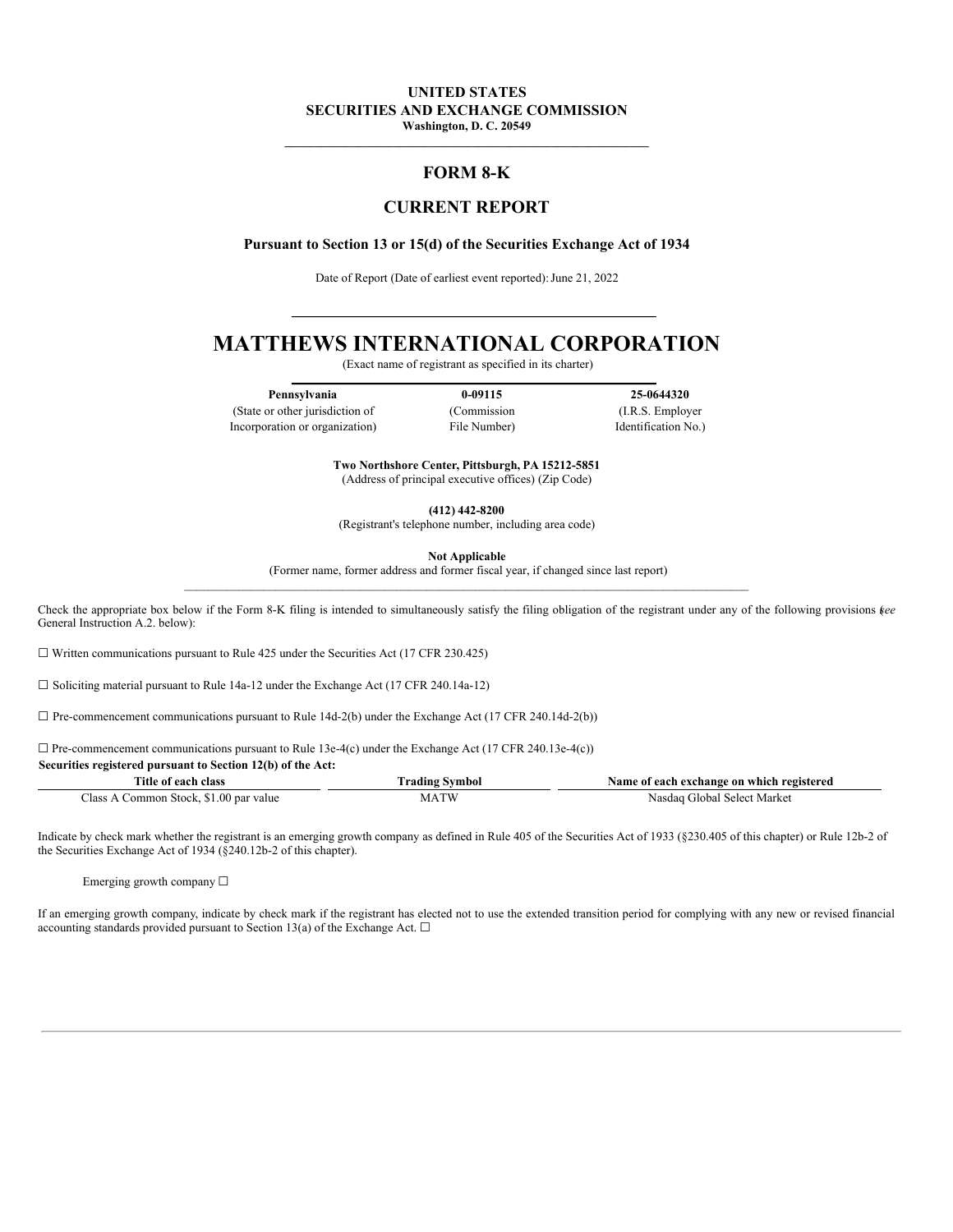# **UNITED STATES SECURITIES AND EXCHANGE COMMISSION**

**Washington, D. C. 20549**  $\mathcal{L}_\mathcal{L} = \{ \mathcal{L}_\mathcal{L} = \{ \mathcal{L}_\mathcal{L} = \{ \mathcal{L}_\mathcal{L} = \{ \mathcal{L}_\mathcal{L} = \{ \mathcal{L}_\mathcal{L} = \{ \mathcal{L}_\mathcal{L} = \{ \mathcal{L}_\mathcal{L} = \{ \mathcal{L}_\mathcal{L} = \{ \mathcal{L}_\mathcal{L} = \{ \mathcal{L}_\mathcal{L} = \{ \mathcal{L}_\mathcal{L} = \{ \mathcal{L}_\mathcal{L} = \{ \mathcal{L}_\mathcal{L} = \{ \mathcal{L}_\mathcal{$ 

## **FORM 8-K**

## **CURRENT REPORT**

#### **Pursuant to Section 13 or 15(d) of the Securities Exchange Act of 1934**

Date of Report (Date of earliest event reported): June 21, 2022

**\_\_\_\_\_\_\_\_\_\_\_\_\_\_\_\_\_\_\_\_\_\_\_\_\_\_\_\_\_\_\_\_\_\_\_\_\_\_\_\_\_\_\_\_\_\_\_\_\_\_\_\_\_\_\_\_\_\_\_\_**

# **MATTHEWS INTERNATIONAL CORPORATION**

(Exact name of registrant as specified in its charter) **\_\_\_\_\_\_\_\_\_\_\_\_\_\_\_\_\_\_\_\_\_\_\_\_\_\_\_\_\_\_\_\_\_\_\_\_\_\_\_\_\_\_\_\_\_\_\_\_\_\_\_\_\_\_\_\_\_\_\_\_**

**Pennsylvania 0-09115 25-0644320**

(State or other jurisdiction of (Commission (I.R.S. Employer Incorporation or organization) File Number) Identification No.)

**Two Northshore Center, Pittsburgh, PA 15212-5851** (Address of principal executive offices) (Zip Code)

**(412) 442-8200**

(Registrant's telephone number, including area code)

**Not Applicable**

(Former name, former address and former fiscal year, if changed since last report)  $\mathcal{L}_\mathcal{L} = \mathcal{L}_\mathcal{L}$ 

Check the appropriate box below if the Form 8-K filing is intended to simultaneously satisfy the filing obligation of the registrant under any of the following provisions (*see* General Instruction A.2. below):

 $\Box$  Written communications pursuant to Rule 425 under the Securities Act (17 CFR 230.425)

☐ Soliciting material pursuant to Rule 14a-12 under the Exchange Act (17 CFR 240.14a-12)

 $\Box$  Pre-commencement communications pursuant to Rule 14d-2(b) under the Exchange Act (17 CFR 240.14d-2(b))

 $\Box$  Pre-commencement communications pursuant to Rule 13e-4(c) under the Exchange Act (17 CFR 240.13e-4(c))

#### **Securities registered pursuant to Section 12(b) of the Act:**

| $-1$<br>class<br><u> 000 </u><br>1UC                               | vmbol     | registered<br>Name<br>- on<br>which<br>' each exchange<br>01 |
|--------------------------------------------------------------------|-----------|--------------------------------------------------------------|
| -<br>00 <sub>1</sub><br>`las:<br>value<br>Stock.<br>ommon<br>≀ par | TII<br>M. | Marke<br>$\cdot$ vilobe $^{\circ}$<br>select<br>аа<br>Nas    |

Indicate by check mark whether the registrant is an emerging growth company as defined in Rule 405 of the Securities Act of 1933 (§230.405 of this chapter) or Rule 12b-2 of the Securities Exchange Act of 1934 (§240.12b-2 of this chapter).

Emerging growth company ☐

If an emerging growth company, indicate by check mark if the registrant has elected not to use the extended transition period for complying with any new or revised financial accounting standards provided pursuant to Section 13(a) of the Exchange Act.  $\Box$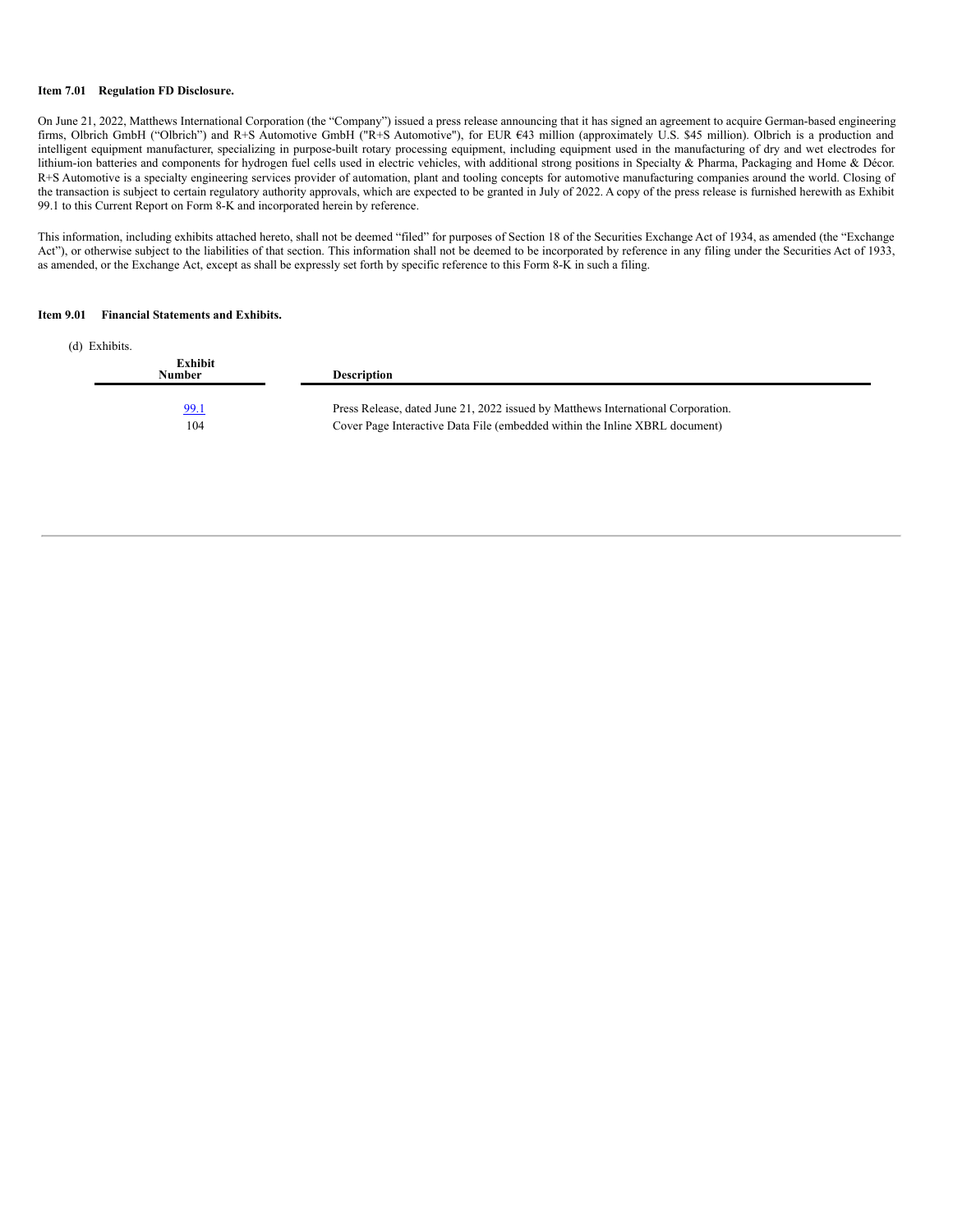#### **Item 7.01 Regulation FD Disclosure.**

On June 21, 2022, Matthews International Corporation (the "Company") issued a press release announcing that it has signed an agreement to acquire German-based engineering firms, Olbrich GmbH ("Olbrich") and R+S Automotive GmbH ("R+S Automotive"), for EUR €43 million (approximately U.S. \$45 million). Olbrich is a production and intelligent equipment manufacturer, specializing in purpose-built rotary processing equipment, including equipment used in the manufacturing of dry and wet electrodes for lithium-ion batteries and components for hydrogen fuel cells used in electric vehicles, with additional strong positions in Specialty & Pharma, Packaging and Home & Décor. R+S Automotive is a specialty engineering services provider of automation, plant and tooling concepts for automotive manufacturing companies around the world. Closing of the transaction is subject to certain regulatory authority approvals, which are expected to be granted in July of 2022. A copy of the press release is furnished herewith as Exhibit 99.1 to this Current Report on Form 8-K and incorporated herein by reference.

This information, including exhibits attached hereto, shall not be deemed "filed" for purposes of Section 18 of the Securities Exchange Act of 1934, as amended (the "Exchange Act"), or otherwise subject to the liabilities of that section. This information shall not be deemed to be incorporated by reference in any filing under the Securities Act of 1933, as amended, or the Exchange Act, except as shall be expressly set forth by specific reference to this Form 8-K in such a filing.

#### **Item 9.01 Financial Statements and Exhibits.**

| (d) Exhibits.      |                                                                                                                                                                 |
|--------------------|-----------------------------------------------------------------------------------------------------------------------------------------------------------------|
| Exhibit<br>Number  | <b>Description</b>                                                                                                                                              |
| <u>99.1</u><br>104 | Press Release, dated June 21, 2022 issued by Matthews International Corporation.<br>Cover Page Interactive Data File (embedded within the Inline XBRL document) |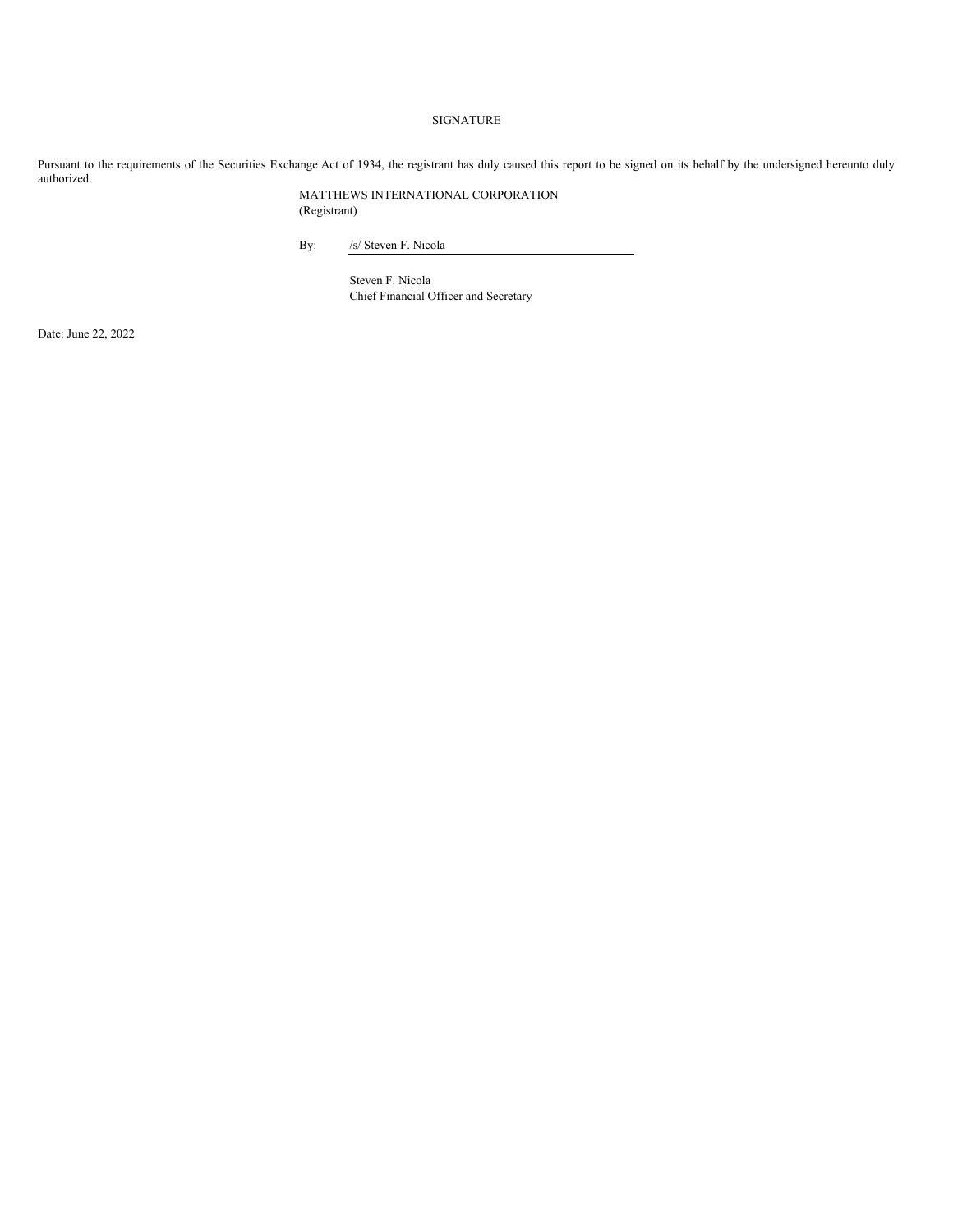## SIGNATURE

Pursuant to the requirements of the Securities Exchange Act of 1934, the registrant has duly caused this report to be signed on its behalf by the undersigned hereunto duly authorized.

> MATTHEWS INTERNATIONAL CORPORATION (Registrant)

By: /s/ Steven F. Nicola

Steven F. Nicola Chief Financial Officer and Secretary

Date: June 22, 2022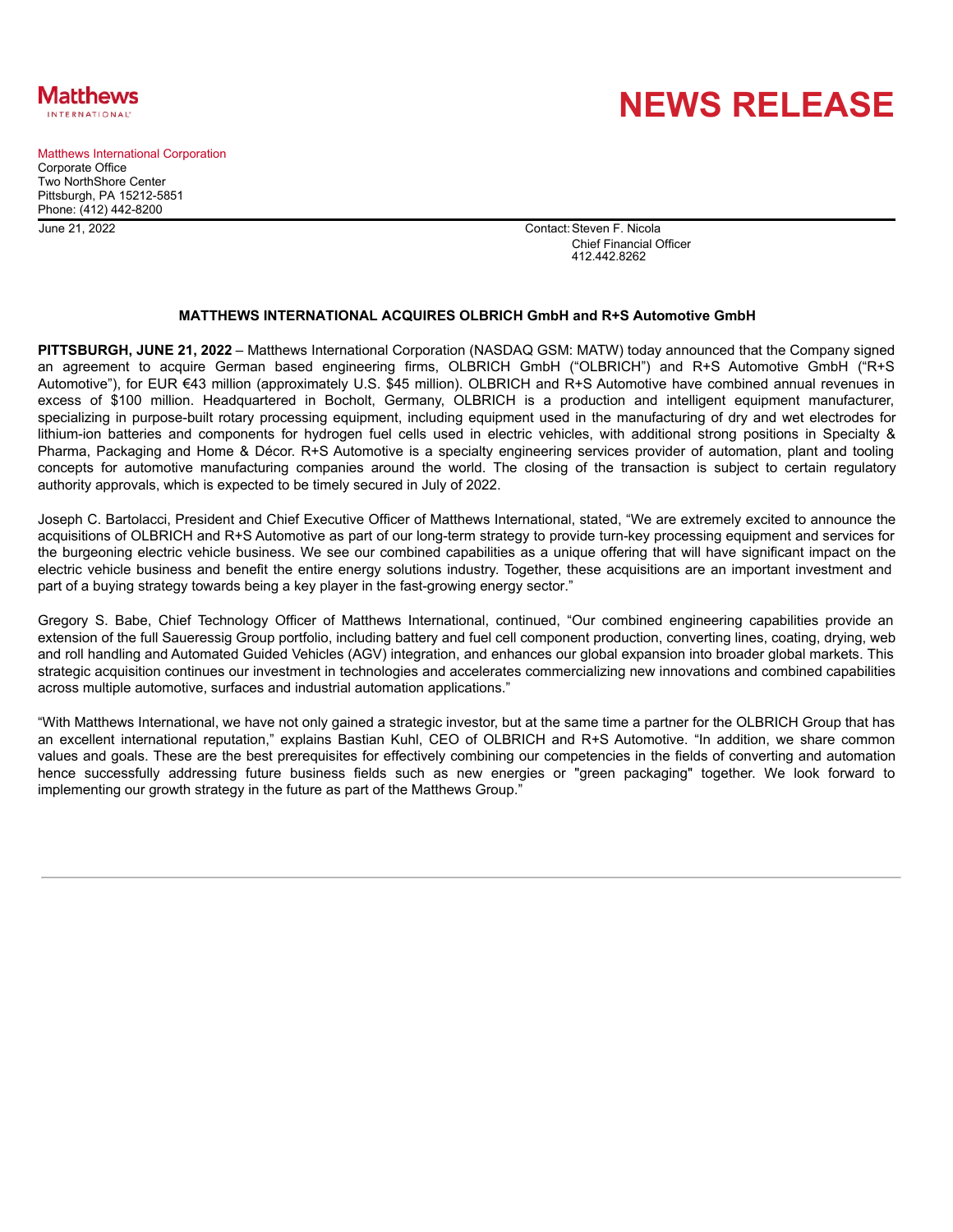

Matthews International Corporation Corporate Office Two NorthShore Center Pittsburgh, PA 15212-5851 Phone: (412) 442-8200

**NEWS RELEASE**

June 21, 2022 Contact:Steven F. Nicola Chief Financial Officer 412.442.8262

### **MATTHEWS INTERNATIONAL ACQUIRES OLBRICH GmbH and R+S Automotive GmbH**

**PITTSBURGH, JUNE 21, 2022** – Matthews International Corporation (NASDAQ GSM: MATW) today announced that the Company signed an agreement to acquire German based engineering firms, OLBRICH GmbH ("OLBRICH") and R+S Automotive GmbH ("R+S Automotive"), for EUR €43 million (approximately U.S. \$45 million). OLBRICH and R+S Automotive have combined annual revenues in excess of \$100 million. Headquartered in Bocholt, Germany, OLBRICH is a production and intelligent equipment manufacturer, specializing in purpose-built rotary processing equipment, including equipment used in the manufacturing of dry and wet electrodes for lithium-ion batteries and components for hydrogen fuel cells used in electric vehicles, with additional strong positions in Specialty & Pharma, Packaging and Home & Décor. R+S Automotive is a specialty engineering services provider of automation, plant and tooling concepts for automotive manufacturing companies around the world. The closing of the transaction is subject to certain regulatory authority approvals, which is expected to be timely secured in July of 2022.

Joseph C. Bartolacci, President and Chief Executive Officer of Matthews International, stated, "We are extremely excited to announce the acquisitions of OLBRICH and R+S Automotive as part of our long-term strategy to provide turn-key processing equipment and services for the burgeoning electric vehicle business. We see our combined capabilities as a unique offering that will have significant impact on the electric vehicle business and benefit the entire energy solutions industry. Together, these acquisitions are an important investment and part of a buying strategy towards being a key player in the fast-growing energy sector."

Gregory S. Babe, Chief Technology Officer of Matthews International, continued, "Our combined engineering capabilities provide an extension of the full Saueressig Group portfolio, including battery and fuel cell component production, converting lines, coating, drying, web and roll handling and Automated Guided Vehicles (AGV) integration, and enhances our global expansion into broader global markets. This strategic acquisition continues our investment in technologies and accelerates commercializing new innovations and combined capabilities across multiple automotive, surfaces and industrial automation applications."

"With Matthews International, we have not only gained a strategic investor, but at the same time a partner for the OLBRICH Group that has an excellent international reputation," explains Bastian Kuhl, CEO of OLBRICH and R+S Automotive. "In addition, we share common values and goals. These are the best prerequisites for effectively combining our competencies in the fields of converting and automation hence successfully addressing future business fields such as new energies or "green packaging" together. We look forward to implementing our growth strategy in the future as part of the Matthews Group."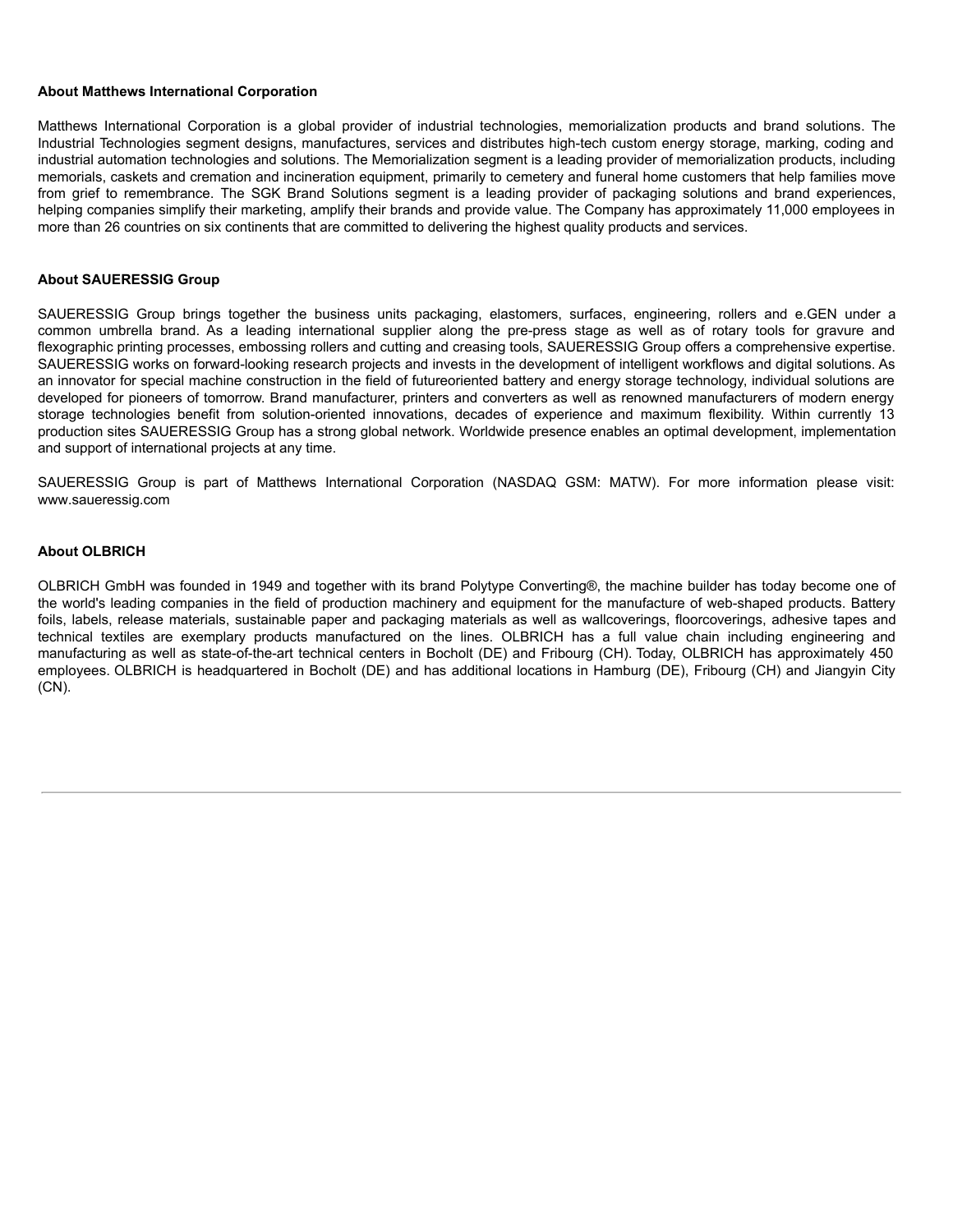### <span id="page-4-0"></span>**About Matthews International Corporation**

Matthews International Corporation is a global provider of industrial technologies, memorialization products and brand solutions. The Industrial Technologies segment designs, manufactures, services and distributes high-tech custom energy storage, marking, coding and industrial automation technologies and solutions. The Memorialization segment is a leading provider of memorialization products, including memorials, caskets and cremation and incineration equipment, primarily to cemetery and funeral home customers that help families move from grief to remembrance. The SGK Brand Solutions segment is a leading provider of packaging solutions and brand experiences, helping companies simplify their marketing, amplify their brands and provide value. The Company has approximately 11,000 employees in more than 26 countries on six continents that are committed to delivering the highest quality products and services.

## **About SAUERESSIG Group**

SAUERESSIG Group brings together the business units packaging, elastomers, surfaces, engineering, rollers and e.GEN under a common umbrella brand. As a leading international supplier along the pre-press stage as well as of rotary tools for gravure and flexographic printing processes, embossing rollers and cutting and creasing tools, SAUERESSIG Group offers a comprehensive expertise. SAUERESSIG works on forward-looking research projects and invests in the development of intelligent workflows and digital solutions. As an innovator for special machine construction in the field of futureoriented battery and energy storage technology, individual solutions are developed for pioneers of tomorrow. Brand manufacturer, printers and converters as well as renowned manufacturers of modern energy storage technologies benefit from solution-oriented innovations, decades of experience and maximum flexibility. Within currently 13 production sites SAUERESSIG Group has a strong global network. Worldwide presence enables an optimal development, implementation and support of international projects at any time.

SAUERESSIG Group is part of Matthews International Corporation (NASDAQ GSM: MATW). For more information please visit: www.saueressig.com

## **About OLBRICH**

OLBRICH GmbH was founded in 1949 and together with its brand Polytype Converting®, the machine builder has today become one of the world's leading companies in the field of production machinery and equipment for the manufacture of web-shaped products. Battery foils, labels, release materials, sustainable paper and packaging materials as well as wallcoverings, floorcoverings, adhesive tapes and technical textiles are exemplary products manufactured on the lines. OLBRICH has a full value chain including engineering and manufacturing as well as state-of-the-art technical centers in Bocholt (DE) and Fribourg (CH). Today, OLBRICH has approximately 450 employees. OLBRICH is headquartered in Bocholt (DE) and has additional locations in Hamburg (DE), Fribourg (CH) and Jiangyin City (CN).